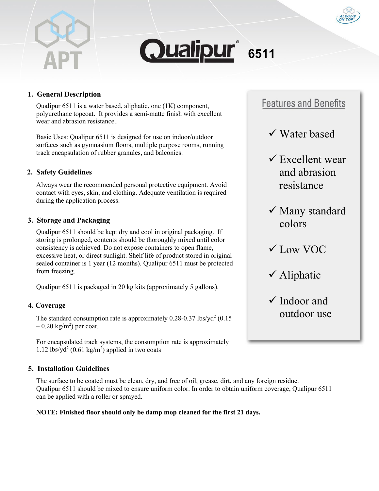



# **1. General Description**

Qualipur 6511 is a water based, aliphatic, one (1K) component, polyurethane topcoat. It provides a semi-matte finish with excellent wear and abrasion resistance..

Basic Uses: Qualipur 6511 is designed for use on indoor/outdoor surfaces such as gymnasium floors, multiple purpose rooms, running track encapsulation of rubber granules, and balconies.

# **2. Safety Guidelines**

Always wear the recommended personal protective equipment. Avoid contact with eyes, skin, and clothing. Adequate ventilation is required during the application process.

### **3. Storage and Packaging**

Qualipur 6511 should be kept dry and cool in original packaging. If storing is prolonged, contents should be thoroughly mixed until color consistency is achieved. Do not expose containers to open flame, excessive heat, or direct sunlight. Shelf life of product stored in original sealed container is 1 year (12 months). Qualipur 6511 must be protected from freezing.

Qualipur 6511 is packaged in 20 kg kits (approximately 5 gallons).

### **4. Coverage**

The standard consumption rate is approximately  $0.28$ -0.37 lbs/yd<sup>2</sup> ( $0.15$ )  $-0.20 \text{ kg/m}^2$ ) per coat.

For encapsulated track systems, the consumption rate is approximately 1.12 lbs/yd<sup>2</sup> (0.61 kg/m<sup>2</sup>) applied in two coats

### **5. Installation Guidelines**

The surface to be coated must be clean, dry, and free of oil, grease, dirt, and any foreign residue. Qualipur 6511 should be mixed to ensure uniform color. In order to obtain uniform coverage, Qualipur 6511 can be applied with a roller or sprayed.

#### **NOTE: Finished floor should only be damp mop cleaned for the first 21 days.**

# **Features and Benefits**

- Water based
- $\checkmark$  Excellent wear and abrasion resistance
- Many standard colors
- $\checkmark$  Low VOC
- Aliphatic
- $\checkmark$  Indoor and outdoor use